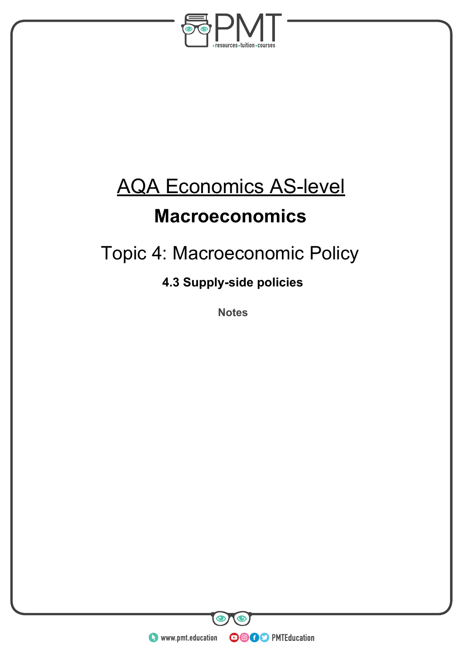

# AQA Economics AS-level

### **Macroeconomics**

## Topic 4: Macroeconomic Policy

### **4.3 Supply-side policies**

**Notes** 

**WWW.pmt.education** 

**OOOO** PMTEducation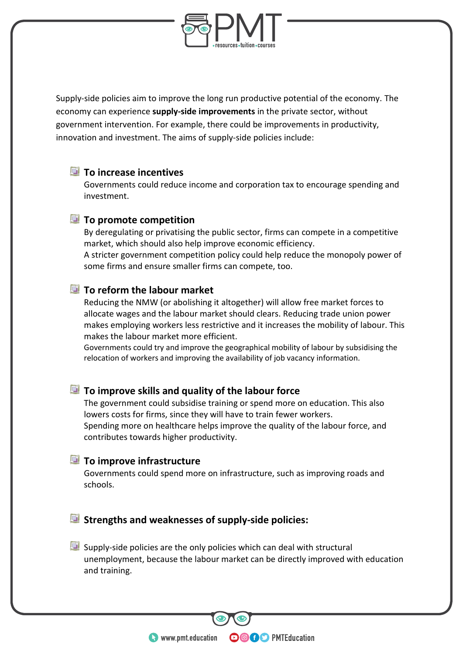

Supply-side policies aim to improve the long run productive potential of the economy. The economy can experience **supply-side improvements** in the private sector, without government intervention. For example, there could be improvements in productivity, innovation and investment. The aims of supply-side policies include:

#### **To increase incentives**

Governments could reduce income and corporation tax to encourage spending and investment.

#### **To promote competition**

By deregulating or privatising the public sector, firms can compete in a competitive market, which should also help improve economic efficiency.

A stricter government competition policy could help reduce the monopoly power of some firms and ensure smaller firms can compete, too.

#### **To reform the labour market**

Reducing the NMW (or abolishing it altogether) will allow free market forces to allocate wages and the labour market should clears. Reducing trade union power makes employing workers less restrictive and it increases the mobility of labour. This makes the labour market more efficient.

Governments could try and improve the geographical mobility of labour by subsidising the relocation of workers and improving the availability of job vacancy information.

#### **To improve skills and quality of the labour force**

The government could subsidise training or spend more on education. This also lowers costs for firms, since they will have to train fewer workers. Spending more on healthcare helps improve the quality of the labour force, and contributes towards higher productivity.

#### **To improve infrastructure**

Governments could spend more on infrastructure, such as improving roads and schools.

#### **Strengths and weaknesses of supply-side policies:**

Supply-side policies are the only policies which can deal with structural unemployment, because the labour market can be directly improved with education and training.

**OOOO** PMTEducation